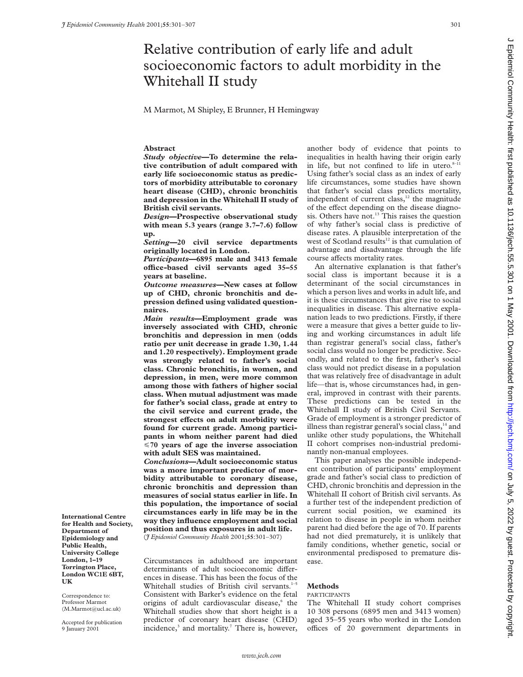# Relative contribution of early life and adult socioeconomic factors to adult morbidity in the Whitehall II study

M Marmot, M Shipley, E Brunner, H Hemingway

## **Abstract**

*Study objective***—To determine the relative contribution of adult compared with early life socioeconomic status as predictors of morbidity attributable to coronary heart disease (CHD), chronic bronchitis and depression in the Whitehall II study of British civil servants.**

*Design***—Prospective observational study with mean 5.3 years (range 3.7–7.6) follow up.**

*Setting***—20 civil service departments originally located in London.**

*Participants***—6895 male and 3413 female oYce-based civil servants aged 35–55 years at baseline.**

*Outcome measures***—New cases at follow up of CHD, chronic bronchitis and depression defined using validated questionnaires.**

*Main results***—Employment grade was inversely associated with CHD, chronic bronchitis and depression in men (odds ratio per unit decrease in grade 1.30, 1.44 and 1.20 respectively). Employment grade was strongly related to father's social class. Chronic bronchitis, in women, and depression, in men, were more common among those with fathers of higher social class. When mutual adjustment was made for father's social class, grade at entry to the civil service and current grade, the** strongest effects on adult morbidity were **found for current grade. Among participants in whom neither parent had died** <**70 years of age the inverse association with adult SES was maintained.**

*Conclusions***—Adult socioeconomic status was a more important predictor of morbidity attributable to coronary disease, chronic bronchitis and depression than measures of social status earlier in life. In this population, the importance of social circumstances early in life may be in the way they influence employment and social position and thus exposures in adult life.** (*J Epidemiol Community Health* 2001;**55**:301–307)

Circumstances in adulthood are important determinants of adult socioeconomic differences in disease. This has been the focus of the Whitehall studies of British civil servants.<sup>1-</sup> Consistent with Barker's evidence on the fetal origins of adult cardiovascular disease,<sup>6</sup> the Whitehall studies show that short height is a predictor of coronary heart disease (CHD) incidence, $3$  and mortality.<sup>7</sup> There is, however,

another body of evidence that points to inequalities in health having their origin early in life, but not confined to life in utero. $8-11$ Using father's social class as an index of early life circumstances, some studies have shown that father's social class predicts mortality, independent of current class, $12$  the magnitude of the effect depending on the disease diagnosis. Others have not.<sup>13</sup> This raises the question of why father's social class is predictive of disease rates. A plausible interpretation of the west of Scotland results<sup>12</sup> is that cumulation of advantage and disadvantage through the life course affects mortality rates.

An alternative explanation is that father's social class is important because it is a determinant of the social circumstances in which a person lives and works in adult life, and it is these circumstances that give rise to social inequalities in disease. This alternative explanation leads to two predictions. Firstly, if there were a measure that gives a better guide to living and working circumstances in adult life than registrar general's social class, father's social class would no longer be predictive. Secondly, and related to the first, father's social class would not predict disease in a population that was relatively free of disadvantage in adult life—that is, whose circumstances had, in general, improved in contrast with their parents. These predictions can be tested in the Whitehall II study of British Civil Servants. Grade of employment is a stronger predictor of illness than registrar general's social class, $^{14}$  and unlike other study populations, the Whitehall II cohort comprises non-industrial predominantly non-manual employees.

This paper analyses the possible independent contribution of participants' employment grade and father's social class to prediction of CHD, chronic bronchitis and depression in the Whitehall II cohort of British civil servants. As a further test of the independent prediction of current social position, we examined its relation to disease in people in whom neither parent had died before the age of 70. If parents had not died prematurely, it is unlikely that family conditions, whether genetic, social or environmental predisposed to premature disease.

# **Methods**

#### PARTICIPANTS

The Whitehall II study cohort comprises 10 308 persons (6895 men and 3413 women) aged 35–55 years who worked in the London offices of 20 government departments in

**International Centre for Health and Society, Department of Epidemiology and Public Health, University College London, 1–19 Torrington Place, London WC1E 6BT, UK**

Correspondence to: Professor Marmot (M.Marmot@ucl.ac.uk)

Accepted for publication 9 January 2001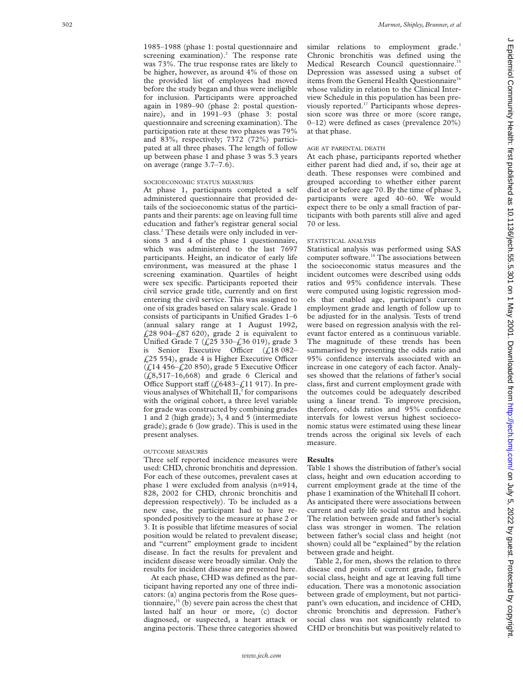1985–1988 (phase 1: postal questionnaire and screening examination). <sup>2</sup> The response rate was 73%. The true response rates are likely to be higher, however, as around 4% of those on the provided list of employees had moved before the study began and thus were ineligible for inclusion. Participants were approached again in 1989–90 (phase 2: postal questionnaire), and in 1991–93 (phase 3: postal questionnaire and screening examination). The participation rate at these two phases was 79% and 83%, respectively; 7372 (72%) participated at all three phases. The length of follow up between phase 1 and phase 3 was 5.3 years on average (range 3.7–7.6).

# SOCIOECONOMIC STATUS MEASURES

At phase 1, participants completed a self administered questionnaire that provided details of the socioeconomic status of the participants and their parents: age on leaving full time education and father's registrar general social class. <sup>2</sup> These details were only included in versions 3 and 4 of the phase 1 questionnaire, which was administered to the last 7697 participants. Height, an indicator of early life environment, was measured at the phase 1 screening examination. Quartiles of height were sex specific. Participants reported their civil service grade title, currently and on first entering the civil service. This was assigned to one of six grades based on salary scale. Grade 1 consists of participants in Unified Grades 1–6 (annual salary range at 1 August 1992, £28 904–£87 620), grade 2 is equivalent to Unified Grade 7 (£25 330–£36 019), grade 3 is Senior Executive Officer  $(f18082 £25$  554), grade 4 is Higher Executive Officer  $(f<sub>L</sub>14 456-f<sub>L</sub>20 850)$ , grade 5 Executive Officer  $(£8,517–16,668)$  and grade 6 Clerical and Office Support staff ( $\text{\textsterling}6483-\text{\textsterling}11917$ ). In previous analyses of Whitehall  $II^2$ , for comparisons with the original cohort, a three level variable for grade was constructed by combining grades 1 and 2 (high grade); 3, 4 and 5 (intermediate grade); grade 6 (low grade). This is used in the present analyses.

## OUTCOME MEASURES

Three self reported incidence measures were used: CHD, chronic bronchitis and depression. For each of these outcomes, prevalent cases at phase 1 were excluded from analysis (n=914, 828, 2002 for CHD, chronic bronchitis and depression respectively). To be included as a new case, the participant had to have responded positively to the measure at phase 2 or 3. It is possible that lifetime measures of social position would be related to prevalent disease; and "current" employment grade to incident disease. In fact the results for prevalent and incident disease were broadly similar. Only the results for incident disease are presented here.

At each phase, CHD was defined as the participant having reported any one of three indicators: (a) angina pectoris from the Rose questionnaire, $15$  (b) severe pain across the chest that lasted half an hour or more, (c) doctor diagnosed, or suspected, a heart attack or angina pectoris. These three categories showed

similar relations to employment grade.<sup>3</sup> Chronic bronchitis was defined using the Medical Research Council questionnaire.<sup>1</sup> Depression was assessed using a subset of items from the General Health Questionnaire<sup>16</sup> whose validity in relation to the Clinical Interview Schedule in this population has been previously reported.17 Participants whose depression score was three or more (score range, 0–12) were defined as cases (prevalence 20%) at that phase.

#### AGE AT PARENTAL DEATH

At each phase, participants reported whether either parent had died and, if so, their age at death. These responses were combined and grouped according to whether either parent died at or before age 70. By the time of phase 3, participants were aged 40–60. We would expect there to be only a small fraction of participants with both parents still alive and aged 70 or less.

#### STATISTICAL ANALYSIS

Statistical analysis was performed using SAS computer software.<sup>18</sup> The associations between the socioeconomic status measures and the incident outcomes were described using odds ratios and 95% confidence intervals. These were computed using logistic regression models that enabled age, participant's current employment grade and length of follow up to be adjusted for in the analysis. Tests of trend were based on regression analysis with the relevant factor entered as a continuous variable. The magnitude of these trends has been summarised by presenting the odds ratio and 95% confidence intervals associated with an increase in one category of each factor. Analyses showed that the relations of father's social class, first and current employment grade with the outcomes could be adequately described using a linear trend. To improve precision, therefore, odds ratios and 95% confidence intervals for lowest versus highest socioeconomic status were estimated using these linear trends across the original six levels of each measure.

#### **Results**

Table 1 shows the distribution of father's social class, height and own education according to current employment grade at the time of the phase 1 examination of the Whitehall II cohort. As anticipated there were associations between current and early life social status and height. The relation between grade and father's social class was stronger in women. The relation between father's social class and height (not shown) could all be "explained" by the relation between grade and height.

Table 2, for men, shows the relation to three disease end points of current grade, father's social class, height and age at leaving full time education. There was a monotonic association between grade of employment, but not participant's own education, and incidence of CHD, chronic bronchitis and depression. Father's social class was not significantly related to CHD or bronchitis but was positively related to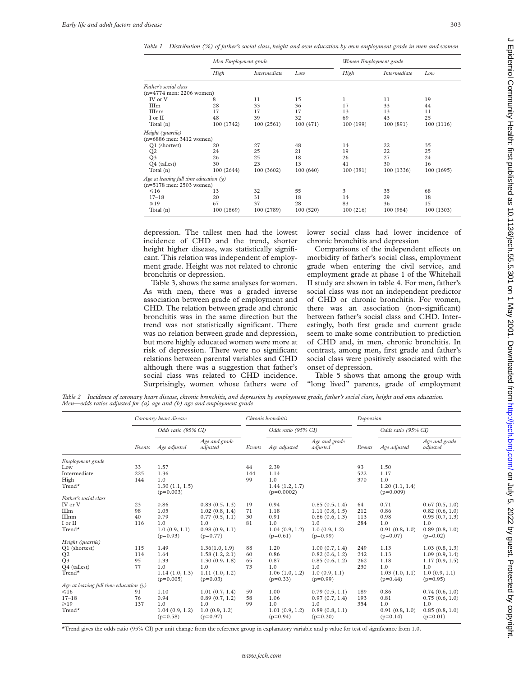*Table 1 Distribution (%) of father's social class, height and own education by own employment grade in men and women*

|                                          | Men Employment grade |              |           | Women Employment grade |              |            |
|------------------------------------------|----------------------|--------------|-----------|------------------------|--------------|------------|
|                                          | High                 | Intermediate | Low       | High                   | Intermediate | Low        |
| Father's social class                    |                      |              |           |                        |              |            |
| $(n=4774$ men: 2206 women)               |                      |              |           |                        |              |            |
| IV or V                                  | 8                    | 11           | 15        | 1                      | 11           | 19         |
| IIIm                                     | 28                   | 33           | 36        | 17                     | 33           | 44         |
| IIInm                                    | 17                   | 17           | 17        | 13                     | 13           | 11         |
| I or II                                  | 48                   | 39           | 32        | 69                     | 43           | 25         |
| Total (n)                                | 100 (1742)           | 100(2561)    | 100(471)  | 100 (199)              | 100 (891)    | 100(1116)  |
| Height (quartile)                        |                      |              |           |                        |              |            |
| $(n=6886$ men: 3412 women)               |                      |              |           |                        |              |            |
| Q1 (shortest)                            | 20                   | 27           | 48        | 14                     | 22           | 35         |
| Q <sub>2</sub>                           | 24                   | 25           | 21        | 19                     | 22           | 25         |
| Q3                                       | 26                   | 25           | 18        | 26                     | 27           | 24         |
| Q4 (tallest)                             | 30                   | 23           | 13        | 41                     | 30           | 16         |
| Total (n)                                | 100 (2644)           | 100 (3602)   | 100(640)  | 100 (381)              | 100 (1336)   | 100(1695)  |
| Age at leaving full time education $(y)$ |                      |              |           |                        |              |            |
| $(n=5178$ men: 2503 women)               |                      |              |           |                        |              |            |
| $\leq 16$                                | 13                   | 32           | 55        | 3                      | 35           | 68         |
| $17 - 18$                                | 20                   | 31           | 18        | 14                     | 29           | 18         |
| $\geq 19$                                | 67                   | 37           | 28        | 83                     | 36           | 15         |
| Total (n)                                | 100 (1869)           | 100 (2789)   | 100 (520) | 100(216)               | 100 (984)    | 100 (1303) |

depression. The tallest men had the lowest incidence of CHD and the trend, shorter height higher disease, was statistically significant. This relation was independent of employment grade. Height was not related to chronic bronchitis or depression.

Table 3, shows the same analyses for women. As with men, there was a graded inverse association between grade of employment and CHD. The relation between grade and chronic bronchitis was in the same direction but the trend was not statistically significant. There was no relation between grade and depression, but more highly educated women were more at risk of depression. There were no significant relations between parental variables and CHD although there was a suggestion that father's social class was related to CHD incidence. Surprisingly, women whose fathers were of lower social class had lower incidence of chronic bronchitis and depression

Comparisons of the independent effects on morbidity of father's social class, employment grade when entering the civil service, and employment grade at phase 1 of the Whitehall II study are shown in table 4. For men, father's social class was not an independent predictor of CHD or chronic bronchitis. For women, there was an association (non-significant) between father's social class and CHD. Interestingly, both first grade and current grade seem to make some contribution to prediction of CHD and, in men, chronic bronchitis. In contrast, among men, first grade and father's social class were positively associated with the onset of depression.

Table 5 shows that among the group with "long lived" parents, grade of employment

*Table 2 Incidence of coronary heart disease, chronic bronchitis, and depression by employment grade, father's social class, height and own education. Men—odds ratios adjusted for (a) age and (b) age and employment grade*

|                                          | Coronary heart disease |                               | Chronic bronchitis           |        |                                | Depression                   |        |                               |                              |
|------------------------------------------|------------------------|-------------------------------|------------------------------|--------|--------------------------------|------------------------------|--------|-------------------------------|------------------------------|
|                                          |                        | Odds ratio (95% CI)           |                              |        | Odds ratio (95% CI)            |                              |        | Odds ratio (95% CI)           |                              |
|                                          | Events                 | Age adjusted                  | Age and grade<br>adjusted    | Events | Age adjusted                   | Age and grade<br>adjusted    | Events | Age adjusted                  | Age and grade<br>adjusted    |
| Employment grade                         |                        |                               |                              |        |                                |                              |        |                               |                              |
| Low                                      | 33                     | 1.57                          |                              | 44     | 2.39                           |                              | 93     | 1.50                          |                              |
| Intermediate                             | 225                    | 1.36                          |                              | 144    | 1.14                           |                              | 522    | 1.17                          |                              |
| High                                     | 144                    | 1.0                           |                              | 99     | 1.0                            |                              | 370    | 1.0                           |                              |
| Trend*                                   |                        | 1.30(1.1, 1.5)<br>$(p=0.003)$ |                              |        | 1.44(1.2, 1.7)<br>$(p=0.0002)$ |                              |        | 1.20(1.1, 1.4)<br>$(p=0.009)$ |                              |
| Father's social class                    |                        |                               |                              |        |                                |                              |        |                               |                              |
| IV or V                                  | 23                     | 0.86                          | 0.83(0.5, 1.3)               | 19     | 0.94                           | 0.85(0.5, 1.4)               | 64     | 0.71                          | 0.67(0.5, 1.0)               |
| IIIm                                     | 98                     | 1.05                          | 1.02(0.8, 1.4)               | 71     | 1.18                           | 1.11(0.8, 1.5)               | 212    | 0.86                          | 0.82(0.6, 1.0)               |
| IIInm                                    | 40                     | 0.79                          | 0.77(0.5, 1.1)               | 30     | 0.91                           | 0.86(0.6, 1.3)               | 113    | 0.98                          | 0.95(0.7, 1.3)               |
| I or II                                  | 116                    | 1.0                           | 1.0                          | 81     | 1.0                            | 1.0                          | 284    | 1.0                           | 1.0                          |
| Trend*                                   |                        | 1.0(0.9, 1.1)<br>$(p=0.93)$   | 0.98(0.9, 1.1)<br>$(p=0.77)$ |        | 1.04(0.9, 1.2)<br>$(p=0.61)$   | 1.0(0.9, 1.2)<br>$(p=0.99)$  |        | 0.91(0.8, 1.0)<br>$(p=0.07)$  | 0.89(0.8, 1.0)<br>$(p=0.02)$ |
| Height (quartile)                        |                        |                               |                              |        |                                |                              |        |                               |                              |
| Q1 (shortest)                            | 115                    | 1.49                          | 1.36(1.0, 1.9)               | 88     | 1.20                           | 1.00(0.7, 1.4)               | 249    | 1.13                          | 1.03(0.8, 1.3)               |
| Q <sub>2</sub>                           | 114                    | 1.64                          | 1.58(1.2, 2.1)               | 60     | 0.86                           | 0.82(0.6, 1.2)               | 242    | 1.13                          | 1.09(0.9, 1.4)               |
| Q <sub>3</sub>                           | 95                     | 1.33                          | 1.30(0.9, 1.8)               | 65     | 0.87                           | 0.85(0.6, 1.2)               | 262    | 1.18                          | 1.17(0.9, 1.5)               |
| Q4 (tallest)                             | 77                     | 1.0                           | 1.0                          | 73     | 1.0                            | 1.0                          | 230    | 1.0                           | 1.0                          |
| Trend*                                   |                        | 1.14(1.0, 1.3)<br>$(p=0.005)$ | 1.11(1.0, 1.2)<br>$(p=0.03)$ |        | 1.06(1.0, 1.2)<br>$(p=0.33)$   | 1.0(0.9, 1.1)<br>$(p=0.99)$  |        | 1.03(1.0, 1.1)<br>$(p=0.44)$  | 1.0(0.9, 1.1)<br>$(p=0.95)$  |
| Age at leaving full time education $(y)$ |                        |                               |                              |        |                                |                              |        |                               |                              |
| $\leq 16$                                | 91                     | 1.10                          | 1.01(0.7, 1.4)               | 59     | 1.00                           | 0.79(0.5, 1.1)               | 189    | 0.86                          | 0.74(0.6, 1.0)               |
| $17 - 18$                                | 76                     | 0.94                          | 0.89(0.7, 1.2)               | 58     | 1.06                           | 0.97(0.7, 1.4)               | 193    | 0.81                          | 0.75(0.6, 1.0)               |
| $\geq 19$                                | 137                    | 1.0                           | 1.0                          | 99     | 1.0                            | 1.0                          | 354    | 1.0                           | 1.0                          |
| Trend*                                   |                        | 1.04(0.9, 1.2)<br>$(p=0.58)$  | 1.0(0.9, 1.2)<br>$(p=0.97)$  |        | 1.01(0.9, 1.2)<br>$(p=0.94)$   | 0.89(0.8, 1.1)<br>$(p=0.20)$ |        | 0.91(0.8, 1.0)<br>$(p=0.14)$  | 0.85(0.8, 1.0)<br>$(p=0.01)$ |

\*Trend gives the odds ratio (95% CI) per unit change from the reference group in explanatory variable and p value for test of significance from 1.0.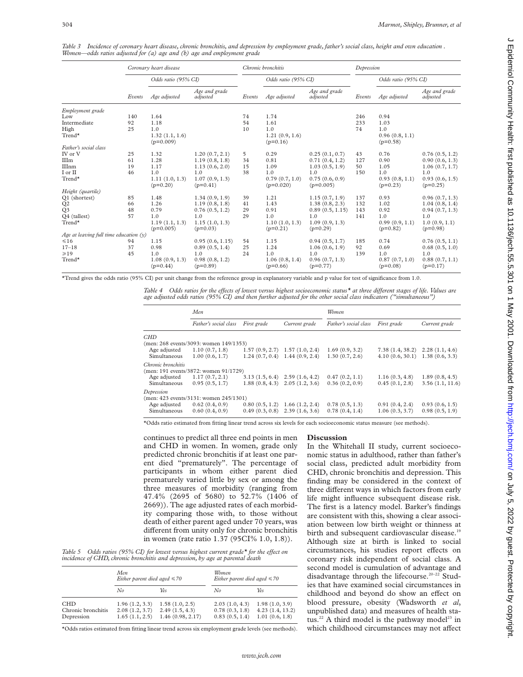|                                          | Coronary heart disease |                               | Chronic bronchitis           |        | Depression                    |                               |        |                              |                              |
|------------------------------------------|------------------------|-------------------------------|------------------------------|--------|-------------------------------|-------------------------------|--------|------------------------------|------------------------------|
|                                          |                        | Odds ratio (95% CI)           |                              |        | Odds ratio (95% CI)           |                               |        | Odds ratio (95% CI)          |                              |
|                                          | Events                 | Age adjusted                  | Age and grade<br>adjusted    | Events | Age adjusted                  | Age and grade<br>adjusted     | Events | Age adjusted                 | Age and grade<br>adjusted    |
| Employment grade                         |                        |                               |                              |        |                               |                               |        |                              |                              |
| Low                                      | 140                    | 1.64                          |                              | 74     | 1.74                          |                               | 246    | 0.94                         |                              |
| Intermediate                             | 92                     | 1.18                          |                              | 54     | 1.61                          |                               | 233    | 1.03                         |                              |
| High                                     | 25                     | 1.0                           |                              | 10     | 1.0                           |                               | 74     | 1.0                          |                              |
| Trend*                                   |                        | 1.32(1.1, 1.6)<br>$(p=0.009)$ |                              |        | 1.21(0.9, 1.6)<br>$(p=0.16)$  |                               |        | 0.96(0.8, 1.1)<br>$(p=0.58)$ |                              |
| Father's social class                    |                        |                               |                              |        |                               |                               |        |                              |                              |
| IV or V                                  | 25                     | 1.32                          | 1.20(0.7, 2.1)               | 5      | 0.29                          | 0.25(0.1, 0.7)                | 43     | 0.76                         | 0.76(0.5, 1.2)               |
| <b>IIIm</b>                              | 61                     | 1.28                          | 1.19(0.8, 1.8)               | 34     | 0.81                          | 0.71(0.4, 1.2)                | 127    | 0.90                         | 0.90(0.6, 1.3)               |
| <b>IIInm</b>                             | 19                     | 1.17                          | 1.13(0.6, 2.0)               | 15     | 1.09                          | 1.03(0.5, 1.9)                | 50     | 1.05                         | 1.06(0.7, 1.7)               |
| I or II                                  | 46                     | 1.0                           | 1.0                          | 38     | 1.0                           | 1.0                           | 150    | 1.0                          | 1.0                          |
| Trend*                                   |                        | 1.11(1.0, 1.3)<br>$(p=0.20)$  | 1.07(0.9, 1.3)<br>$(p=0.41)$ |        | 0.79(0.7, 1.0)<br>$(p=0.020)$ | 0.75(0.6, 0.9)<br>$(p=0.005)$ |        | 0.93(0.8, 1.1)<br>$(p=0.23)$ | 0.93(0.6, 1.5)<br>$(p=0.25)$ |
| Height (quartile)                        |                        |                               |                              |        |                               |                               |        |                              |                              |
| Q1 (shortest)                            | 85                     | 1.48                          | 1.34(0.9, 1.9)               | 39     | 1.21                          | 1.15(0.7, 1.9)                | 137    | 0.93                         | 0.96(0.7, 1.3)               |
| Q <sub>2</sub>                           | 66                     | 1.26                          | 1.19(0.8, 1.8)               | 41     | 1.43                          | 1.38(0.8, 2.3)                | 132    | 1.02                         | 1.04(0.8, 1.4)               |
| Q3                                       | 48                     | 0.79                          | 0.76(0.5, 1.2)               | 29     | 0.91                          | 0.89(0.5, 1.15)               | 143    | 0.92                         | 0.94(0.7, 1.3)               |
| Q4 (tallest)                             | 57                     | 1.0                           | 1.0                          | 29     | 1.0                           | 1.0                           | 141    | 1.0                          | 1.0                          |
| Trend*                                   |                        | 1.19(1.1, 1.3)<br>$(p=0.005)$ | 1.15(1.0, 1.3)<br>$(p=0.03)$ |        | 1.10(1.0, 1.3)<br>$(p=0.21)$  | 1.09(0.9, 1.3)<br>$(p=0.29)$  |        | 0.99(0.9, 1.1)<br>$(p=0.82)$ | 1.0(0.9, 1.1)<br>$(p=0.98)$  |
| Age at leaving full time education $(y)$ |                        |                               |                              |        |                               |                               |        |                              |                              |
| $\leq 16$                                | 94                     | 1.15                          | 0.95(0.6, 1.15)              | 54     | 1.15                          | 0.94(0.5, 1.7)                | 185    | 0.74                         | 0.76(0.5, 1.1)               |
| $17 - 18$                                | 37                     | 0.98                          | 0.89(0.5, 1.4)               | 25     | 1.24                          | 1.06(0.6, 1.9)                | 92     | 0.69                         | 0.68(0.5, 1.0)               |
| $\geq 19$                                | 45                     | 1.0                           | 1.0                          | 24     | 1.0                           | 1.0                           | 139    | 1.0                          | 1.0                          |
| Trend*                                   |                        | 1.08(0.9, 1.3)<br>$(p=0.44)$  | 0.98(0.8, 1.2)<br>$(p=0.89)$ |        | 1.06(0.8, 1.4)<br>$(p=0.66)$  | 0.96(0.7, 1.3)<br>$(p=0.77)$  |        | 0.87(0.7, 1.0)<br>$(p=0.08)$ | 0.88(0.7, 1.1)<br>$(p=0.17)$ |

*Table 3 Incidence of coronary heart disease, chronic bronchitis, and depression by employment grade, father's social class, height and own education . Women—odds ratios adjusted for (a) age and (b) age and employment grade*

\*Trend gives the odds ratio (95% CI) per unit change from the reference group in explanatory variable and p value for test of significance from 1.0.

*Table 4* Odds ratios for the effects of lowest versus highest socioeconomic status<sup>\*</sup> at three different stages of life. Values are *age adjusted odds ratios (95% CI) and then further adjusted for the other social class indicators ("simultaneous")*

|                    | Men                                    |                |                                    | Women                 |                                     |                 |  |
|--------------------|----------------------------------------|----------------|------------------------------------|-----------------------|-------------------------------------|-----------------|--|
|                    | Father's social class                  | First grade    | Current grade                      | Father's social class | First grade                         | Current grade   |  |
| <b>CHD</b>         |                                        |                |                                    |                       |                                     |                 |  |
|                    | (men: 268 events/3093: women 149/1353) |                |                                    |                       |                                     |                 |  |
| Age adjusted       | 1.10(0.7, 1.8)                         |                | $1.57(0.9, 2.7)$ $1.57(1.0, 2.4)$  | 1.69(0.9, 3.2)        | $7.38(1.4, 38.2)$ $2.28(1.1, 4.6)$  |                 |  |
| Simultaneous       | 1.00(0.6, 1.7)                         |                | $1.24(0.7, 0.4)$ 1.44 $(0.9, 2.4)$ | 1.30(0.7, 2.6)        | $4.10(0.6, 30.1)$ 1.38 $(0.6, 3.3)$ |                 |  |
| Chronic bronchitis |                                        |                |                                    |                       |                                     |                 |  |
|                    | (men: 191 events/3872: women 91/1729)  |                |                                    |                       |                                     |                 |  |
| Age adjusted       | 1.17(0.7, 2.1)                         |                | $3.13(1.5, 6.4)$ $2.59(1.6, 4.2)$  | 0.47(0.2, 1.1)        | 1.16(0.3, 4.8)                      | 1.89(0.8, 4.5)  |  |
| Simultaneous       | 0.95(0.5, 1.7)                         |                | $1.88(0.8, 4.3)$ $2.05(1.2, 3.6)$  | 0.36(0.2, 0.9)        | 0.45(0.1, 2.8)                      | 3.56(1.1, 11.6) |  |
| Depression         |                                        |                |                                    |                       |                                     |                 |  |
|                    | (men: 423 events/3131: women 245/1301) |                |                                    |                       |                                     |                 |  |
| Age adjusted       | 0.62(0.4, 0.9)                         |                | $0.80(0.5, 1.2)$ 1.66 (1.2, 2.4)   | 0.78(0.5, 1.3)        | 0.91(0.4, 2.4)                      | 0.93(0.6, 1.5)  |  |
| Simultaneous       | 0.60(0.4, 0.9)                         | 0.49(0.3, 0.8) | 2.39(1.6, 3.6)                     | 0.78(0.4, 1.4)        | 1.06(0.3, 3.7)                      | 0.98(0.5, 1.9)  |  |

\*Odds ratio estimated from fitting linear trend across six levels for each socioeconomic status measure (see methods).

continues to predict all three end points in men and CHD in women. In women, grade only predicted chronic bronchitis if at least one parent died "prematurely". The percentage of participants in whom either parent died prematurely varied little by sex or among the three measures of morbidity (ranging from 47.4% (2695 of 5680) to 52.7% (1406 of 2669)). The age adjusted rates of each morbidity comparing those with, to those without death of either parent aged under 70 years, was different from unity only for chronic bronchitis in women (rate ratio 1.37 (95CI% 1.0, 1.8)).

*Table 5* Odds ratios (95% CI) for lowest versus highest current grade\* for the effect on *incidence of CHD, chronic bronchitis and depression, by age at parental death*

|                                                | Men<br>Either parent died aged $\leq 70$           |                                                      | Women<br>Either parent died aged $\leq 70$         |                                                     |  |
|------------------------------------------------|----------------------------------------------------|------------------------------------------------------|----------------------------------------------------|-----------------------------------------------------|--|
|                                                | No                                                 | Yes                                                  | No                                                 | Yes                                                 |  |
| <b>CHD</b><br>Chronic bronchitis<br>Depression | 1.96(1.2, 3.3)<br>2.08(1.2, 3.7)<br>1.65(1.1, 2.5) | 1.58(1.0, 2.5)<br>2.49(1.5, 4.3)<br>1.46(0.98, 2.17) | 2.03(1.0, 4.3)<br>0.78(0.3, 1.8)<br>0.83(0.5, 1.4) | 1.98(1.0, 3.9)<br>4.23(1.4, 13.2)<br>1.01(0.6, 1.8) |  |

\*Odds ratios estimated from fitting linear trend across six employment grade levels (see methods).

# **Discussion**

In the Whitehall II study, current socioeconomic status in adulthood, rather than father's social class, predicted adult morbidity from CHD, chronic bronchitis and depression. This finding may be considered in the context of three different ways in which factors from early life might influence subsequent disease risk. The first is a latency model. Barker's findings are consistent with this, showing a clear association between low birth weight or thinness at birth and subsequent cardiovascular disease.<sup>19</sup> Although size at birth is linked to social circumstances, his studies report effects on coronary risk independent of social class. A second model is cumulation of advantage and disadvantage through the lifecourse.<sup>20-22</sup> Studies that have examined social circumstances in childhood and beyond do show an effect on blood pressure, obesity (Wadsworth *et al*, unpublished data) and measures of health status.<sup>22</sup> A third model is the pathway model<sup>23</sup> in which childhood circumstances may not affect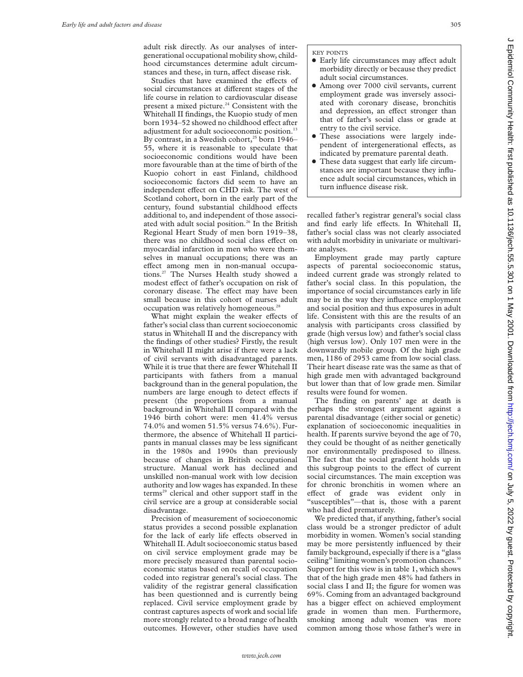adult risk directly. As our analyses of intergenerational occupational mobility show, childhood circumstances determine adult circumstances and these, in turn, affect disease risk.

Studies that have examined the effects of social circumstances at different stages of the life course in relation to cardiovascular disease present a mixed picture. $24$  Consistent with the Whitehall II findings, the Kuopio study of men born 1934–52 showed no childhood effect after adjustment for adult socioeconomic position.<sup>13</sup> By contrast, in a Swedish cohort,<sup>25</sup> born 1946– 55, where it is reasonable to speculate that socioeconomic conditions would have been more favourable than at the time of birth of the Kuopio cohort in east Finland, childhood socioeconomic factors did seem to have an independent effect on CHD risk. The west of Scotland cohort, born in the early part of the century, found substantial childhood effects additional to, and independent of those associated with adult social position.<sup>26</sup> In the British Regional Heart Study of men born 1919–38, there was no childhood social class effect on myocardial infarction in men who were themselves in manual occupations; there was an effect among men in non-manual occupations.27 The Nurses Health study showed a modest effect of father's occupation on risk of coronary disease. The effect may have been small because in this cohort of nurses adult occupation was relatively homogeneous.28

What might explain the weaker effects of father's social class than current socioeconomic status in Whitehall II and the discrepancy with the findings of other studies? Firstly, the result in Whitehall II might arise if there were a lack of civil servants with disadvantaged parents. While it is true that there are fewer Whitehall II participants with fathers from a manual background than in the general population, the numbers are large enough to detect effects if present (the proportions from a manual background in Whitehall II compared with the 1946 birth cohort were: men 41.4% versus 74.0% and women 51.5% versus 74.6%). Furthermore, the absence of Whitehall II participants in manual classes may be less significant in the 1980s and 1990s than previously because of changes in British occupational structure. Manual work has declined and unskilled non-manual work with low decision authority and low wages has expanded. In these terms<sup>29</sup> clerical and other support staff in the civil service are a group at considerable social disadvantage.

Precision of measurement of socioeconomic status provides a second possible explanation for the lack of early life effects observed in Whitehall II. Adult socioeconomic status based on civil service employment grade may be more precisely measured than parental socioeconomic status based on recall of occupation coded into registrar general's social class. The validity of the registrar general classification has been questionned and is currently being replaced. Civil service employment grade by contrast captures aspects of work and social life more strongly related to a broad range of health outcomes. However, other studies have used

## KEY POINTS

- Early life circumstances may affect adult morbidity directly or because they predict adult social circumstances.
- Among over 7000 civil servants, current employment grade was inversely associated with coronary disease, bronchitis and depression, an effect stronger than that of father's social class or grade at entry to the civil service.
- These associations were largely independent of intergenerational effects, as indicated by premature parental death.
- These data suggest that early life circumstances are important because they influence adult social circumstances, which in turn influence disease risk.

recalled father's registrar general's social class and find early life effects. In Whitehall II, father's social class was not clearly associated with adult morbidity in univariate or multivariate analyses.

Employment grade may partly capture aspects of parental socioeconomic status, indeed current grade was strongly related to father's social class. In this population, the importance of social circumstances early in life may be in the way they influence employment and social position and thus exposures in adult life. Consistent with this are the results of an analysis with participants cross classified by grade (high versus low) and father's social class (high versus low). Only 107 men were in the downwardly mobile group. Of the high grade men, 1186 of 2953 came from low social class. Their heart disease rate was the same as that of high grade men with advantaged background but lower than that of low grade men. Similar results were found for women.

The finding on parents' age at death is perhaps the strongest argument against a parental disadvantage (either social or genetic) explanation of socioeconomic inequalities in health. If parents survive beyond the age of 70, they could be thought of as neither genetically nor environmentally predisposed to illness. The fact that the social gradient holds up in this subgroup points to the effect of current social circumstances. The main exception was for chronic bronchitis in women where an effect of grade was evident only in "susceptibles"—that is, those with a parent who had died prematurely.

We predicted that, if anything, father's social class would be a stronger predictor of adult morbidity in women. Women's social standing may be more persistently influenced by their family background, especially if there is a "glass ceiling" limiting women's promotion chances.<sup>30</sup> Support for this view is in table 1, which shows that of the high grade men 48% had fathers in social class I and II; the figure for women was 69%. Coming from an advantaged background has a bigger effect on achieved employment grade in women than men. Furthermore, smoking among adult women was more common among those whose father's were in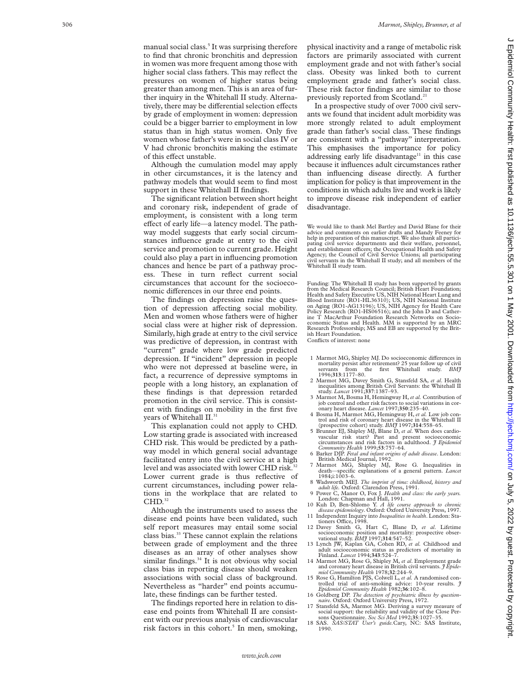manual social class. <sup>5</sup> It was surprising therefore to find that chronic bronchitis and depression in women was more frequent among those with higher social class fathers. This may reflect the pressures on women of higher status being greater than among men. This is an area of further inquiry in the Whitehall II study. Alternatively, there may be differential selection effects by grade of employment in women: depression could be a bigger barrier to employment in low status than in high status women. Only five women whose father's were in social class IV or V had chronic bronchitis making the estimate of this effect unstable.

Although the cumulation model may apply in other circumstances, it is the latency and pathway models that would seem to find most support in these Whitehall II findings.

The significant relation between short height and coronary risk, independent of grade of employment, is consistent with a long term effect of early life—a latency model. The pathway model suggests that early social circumstances influence grade at entry to the civil service and promotion to current grade. Height could also play a part in influencing promotion chances and hence be part of a pathway process. These in turn reflect current social circumstances that account for the socioeconomic differences in our three end points.

The findings on depression raise the question of depression affecting social mobility. Men and women whose fathers were of higher social class were at higher risk of depression. Similarly, high grade at entry to the civil service was predictive of depression, in contrast with "current" grade where low grade predicted depression. If "incident" depression in people who were not depressed at baseline were, in fact, a recurrence of depressive symptoms in people with a long history, an explanation of these findings is that depression retarded promotion in the civil service. This is consistent with findings on mobility in the first five years of Whitehall II.<sup>31</sup>

This explanation could not apply to CHD. Low starting grade is associated with increased CHD risk. This would be predicted by a pathway model in which general social advantage facilitated entry into the civil service at a high level and was associated with lower CHD risk.<sup>32</sup> Lower current grade is thus reflective of current circumstances, including power relations in the workplace that are related to  $CHD.<sup>32</sup>$ 

Although the instruments used to assess the disease end points have been validated, such self report measures may entail some social class bias.33 These cannot explain the relations between grade of employment and the three diseases as an array of other analyses show similar findings. $34$  It is not obvious why social class bias in reporting disease should weaken associations with social class of background. Nevertheless as "harder" end points accumulate, these findings can be further tested.

The findings reported here in relation to disease end points from Whitehall II are consistent with our previous analysis of cardiovascular risk factors in this cohort. <sup>5</sup> In men, smoking, physical inactivity and a range of metabolic risk factors are primarily associated with current employment grade and not with father's social class. Obesity was linked both to current employment grade and father's social class. These risk factor findings are similar to those previously reported from Scotland.<sup>21</sup>

In a prospective study of over 7000 civil servants we found that incident adult morbidity was more strongly related to adult employment grade than father's social class. These findings are consistent with a "pathway" interpretation. This emphasises the importance for policy addressing early life disadvantage<sup>11</sup> in this case because it influences adult circumstances rather than influencing disease directly. A further implication for policy is that improvement in the conditions in which adults live and work is likely to improve disease risk independent of earlier disadvantage.

We would like to thank Mel Bartley and David Blane for their advice and comments on earlier drafts and Mandy Feeney for help in preparation of this manuscript. We also thank all participating civil service departments and their welfare, personnel, and establishment officers; the Occupational Health and Safety<br>Agency; the Council of Civil Service Unions; all participating civil servants in the Whitehall II study; and all members of the Whitehall II study team.

Funding: The Whitehall II study has been supported by grants from the Medical Research Council; British Heart Foundation; Health and Safety Executive US, NIH National Heart Lung and Blood Institute (RO1-HL36310); US, NIH National Institute on Aging (RO1-AG13196); US, NIH Agency for Health Care Policy Research (RO1-HS06516); and the John D and Catherine T MacArthur Foundation Research Networks on Socioeconomic Status and Health. MM is supported by an MRC Research Professorship; MS and EB are supported by the British Heart Foundation.

Conflicts of interest: none

- 1 Marmot MG, Shipley MJ. Do socioeconomic differences in mortality persist after retirement? 25 year follow up of civil<br>servants from the first Whitehall study. *BMj*<br>1996;313:1177–80. servants from the first Whitehall study.<br>1996;**313**:1177–80.
- 1996;**313**:1177–80. 2 Marmot MG, Davey Smith G, Stansfeld SA, *et al*. Health inequalities among British Civil Servants: the Whitehall II study. *Lancet* 1991;**337**:1387–93.
- 3 Marmot M, Bosma H, Hemingway H,*et al.* Contribution of job control and other risk factors to social variations in cor-onary heart disease. *Lancet* 1997;**350**:235–40.
- 4 Bosma H, Marmot MG, Hemingway H, *et al.* Low job con-trol and risk of coronary heart disease in the Whitehall II
- (prospective cohort) study. *BMJ* 1997;**314**:558–65. 5 Brunner EJ, Shipley MJ, Blane D, *et al*. When does cardio-vascular risk start? Past and present socioeconomic circumstances and risk factors in adulthood. *J Epidemiol*
- *Community Health* 1999;**53**:757–64. 6 Barker DJP. *Fetal and infant origins of adult disease*. London: British Medical Journal, 1992.
- 7 Marmot MG, Shipley MJ, Rose G. Inequalities in death—specific explanations of a general pattern. *Lancet* 1984;i:1003–6.
- 8 Wadsworth MEJ. *The imprint of time: childhood, history and adult life.* Oxford: Clarendon Press, 1991.
- 9 Power C, Manor O, Fox J. *Health and class: the early years.* London: Chapman and Hall, 1991.
- 10 Kuh D, Ben-Shlomo Y. *A life course approach to chronic disease epidemiology*. Oxford: Oxford University Press, 1997.
- 11 Independent Inquiry into *Inequalities in health*. London: Stationers Office, 1998.<br>
12 Davey Smith G, Hart C, Blane D, *et al.* Lifetime<br>
socioeconomic position and mortality: prospective obser-
- vational study. *BMJ* 1997;**314**:547–52.
- 13 Lynch JW, Kaplan GA, Cohen RD, *et al.* Childhood and adult socioeconomic status as predictors of mortality in Finland. *Lancet* 1994;**343**:524–7.
- 14 Marmot MG, Rose G, Shipley M, *et al*. Employment grade and coronary heart disease in British civil servants. *J Epide-*
- miol Community Health 1978;32:244-9.<br>15 Rose G, Hamilton PJS, Colwell L, et al. A randomised controlled trial of anti-smoking advice: 10-year results. *J*<br>Epidemiol Community Health 1982;36:102-8.
- 16 Goldberg DP. *The detection of psychiatric illness by questionnaire*. Oxford: Oxford University Press, 1972.
- 17 Stansfeld SA, Marmot MG. Deriving a survey measure of social support: the reliability and validity of the Close Per-
- sons Questionnaire. *Soc Sci Med* 1992;**35**:1027–35. 18 SAS. *SAS/STAT User's guide.*Cary, NC: SAS Institute, 1990.